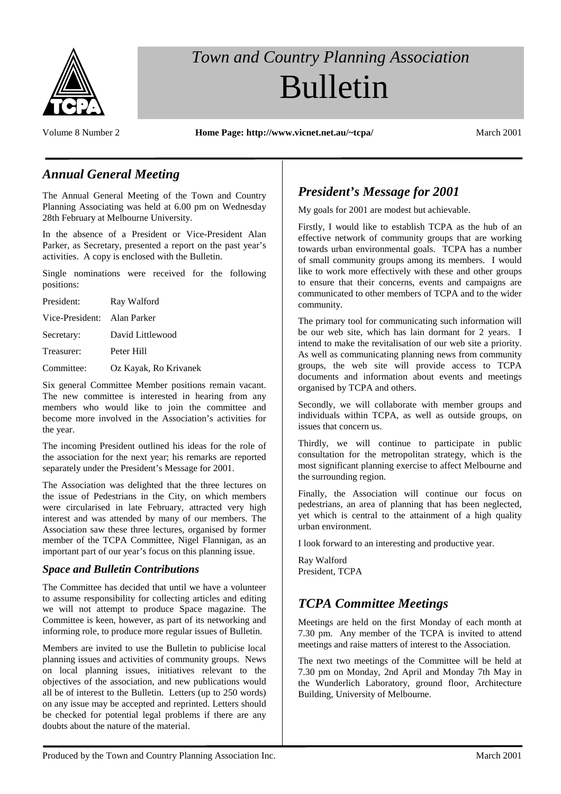

# *Town and Country Planning Association* Bulletin

Volume 8 Number 2 **Home Page: http://www.vicnet.net.au/~tcpa/** March 2001

#### *Annual General Meeting*

The Annual General Meeting of the Town and Country Planning Associating was held at 6.00 pm on Wednesday 28th February at Melbourne University.

In the absence of a President or Vice-President Alan Parker, as Secretary, presented a report on the past year's activities. A copy is enclosed with the Bulletin.

Single nominations were received for the following positions:

| President:                  | Ray Walford           |
|-----------------------------|-----------------------|
| Vice-President: Alan Parker |                       |
| Secretary:                  | David Littlewood      |
| Treasurer:                  | Peter Hill            |
| Committee:                  | Oz Kayak, Ro Krivanek |

Six general Committee Member positions remain vacant. The new committee is interested in hearing from any members who would like to join the committee and become more involved in the Association's activities for the year.

The incoming President outlined his ideas for the role of the association for the next year; his remarks are reported separately under the President's Message for 2001.

The Association was delighted that the three lectures on the issue of Pedestrians in the City, on which members were circularised in late February, attracted very high interest and was attended by many of our members. The Association saw these three lectures, organised by former member of the TCPA Committee, Nigel Flannigan, as an important part of our year's focus on this planning issue.

#### *Space and Bulletin Contributions*

The Committee has decided that until we have a volunteer to assume responsibility for collecting articles and editing we will not attempt to produce Space magazine. The Committee is keen, however, as part of its networking and informing role, to produce more regular issues of Bulletin.

Members are invited to use the Bulletin to publicise local planning issues and activities of community groups. News on local planning issues, initiatives relevant to the objectives of the association, and new publications would all be of interest to the Bulletin. Letters (up to 250 words) on any issue may be accepted and reprinted. Letters should be checked for potential legal problems if there are any doubts about the nature of the material.

## *President's Message for 2001*

My goals for 2001 are modest but achievable.

Firstly, I would like to establish TCPA as the hub of an effective network of community groups that are working towards urban environmental goals. TCPA has a number of small community groups among its members. I would like to work more effectively with these and other groups to ensure that their concerns, events and campaigns are communicated to other members of TCPA and to the wider community.

The primary tool for communicating such information will be our web site, which has lain dormant for 2 years. I intend to make the revitalisation of our web site a priority. As well as communicating planning news from community groups, the web site will provide access to TCPA documents and information about events and meetings organised by TCPA and others.

Secondly, we will collaborate with member groups and individuals within TCPA, as well as outside groups, on issues that concern us.

Thirdly, we will continue to participate in public consultation for the metropolitan strategy, which is the most significant planning exercise to affect Melbourne and the surrounding region.

Finally, the Association will continue our focus on pedestrians, an area of planning that has been neglected, yet which is central to the attainment of a high quality urban environment.

I look forward to an interesting and productive year.

Ray Walford President, TCPA

## *TCPA Committee Meetings*

Meetings are held on the first Monday of each month at 7.30 pm. Any member of the TCPA is invited to attend meetings and raise matters of interest to the Association.

The next two meetings of the Committee will be held at 7.30 pm on Monday, 2nd April and Monday 7th May in the Wunderlich Laboratory, ground floor, Architecture Building, University of Melbourne.